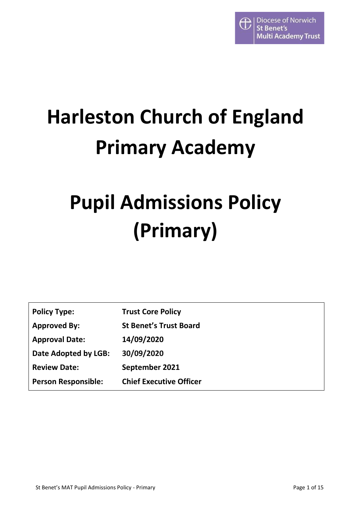

# **Harleston Church of England Primary Academy**

# **Pupil Admissions Policy (Primary)**

| <b>Policy Type:</b>        | <b>Trust Core Policy</b>       |
|----------------------------|--------------------------------|
| <b>Approved By:</b>        | <b>St Benet's Trust Board</b>  |
| <b>Approval Date:</b>      | 14/09/2020                     |
| Date Adopted by LGB:       | 30/09/2020                     |
| <b>Review Date:</b>        | September 2021                 |
| <b>Person Responsible:</b> | <b>Chief Executive Officer</b> |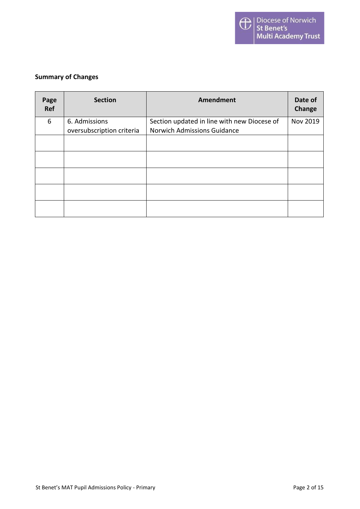

# **Summary of Changes**

| Page<br>Ref | <b>Section</b>            | <b>Amendment</b>                                                                  | Date of<br>Change |
|-------------|---------------------------|-----------------------------------------------------------------------------------|-------------------|
| 6           | 6. Admissions             | Section updated in line with new Diocese of<br><b>Norwich Admissions Guidance</b> | Nov 2019          |
|             | oversubscription criteria |                                                                                   |                   |
|             |                           |                                                                                   |                   |
|             |                           |                                                                                   |                   |
|             |                           |                                                                                   |                   |
|             |                           |                                                                                   |                   |
|             |                           |                                                                                   |                   |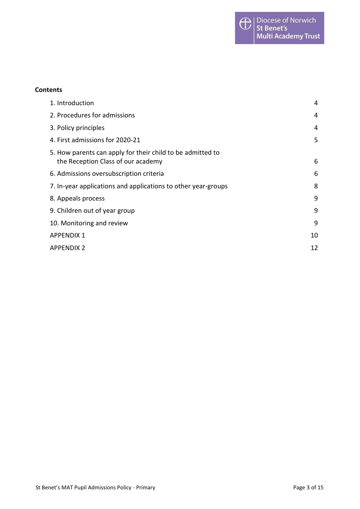#### **Contents**

| 1. Introduction                                                                                  | 4  |
|--------------------------------------------------------------------------------------------------|----|
| 2. Procedures for admissions                                                                     | 4  |
| 3. Policy principles                                                                             | 4  |
| 4. First admissions for 2020-21                                                                  | 5  |
| 5. How parents can apply for their child to be admitted to<br>the Reception Class of our academy | 6  |
| 6. Admissions oversubscription criteria                                                          | 6  |
| 7. In-year applications and applications to other year-groups                                    | 8  |
| 8. Appeals process                                                                               | 9  |
| 9. Children out of year group                                                                    | 9  |
| 10. Monitoring and review                                                                        | 9  |
| <b>APPENDIX 1</b>                                                                                | 10 |
| <b>APPENDIX 2</b>                                                                                | 12 |
|                                                                                                  |    |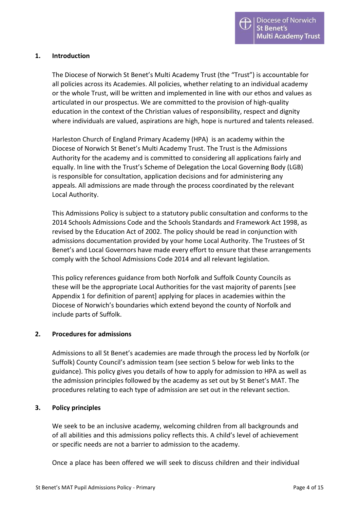#### <span id="page-3-0"></span>**1. Introduction**

The Diocese of Norwich St Benet's Multi Academy Trust (the "Trust") is accountable for all policies across its Academies. All policies, whether relating to an individual academy or the whole Trust, will be written and implemented in line with our ethos and values as articulated in our prospectus. We are committed to the provision of high-quality education in the context of the Christian values of responsibility, respect and dignity where individuals are valued, aspirations are high, hope is nurtured and talents released.

Harleston Church of England Primary Academy (HPA) is an academy within the Diocese of Norwich St Benet's Multi Academy Trust. The Trust is the Admissions Authority for the academy and is committed to considering all applications fairly and equally. In line with the Trust's Scheme of Delegation the Local Governing Body (LGB) is responsible for consultation, application decisions and for administering any appeals. All admissions are made through the process coordinated by the relevant Local Authority.

This Admissions Policy is subject to a statutory public consultation and conforms to the 2014 Schools Admissions Code and the Schools Standards and Framework Act 1998, as revised by the Education Act of 2002. The policy should be read in conjunction with admissions documentation provided by your home Local Authority. The Trustees of St Benet's and Local Governors have made every effort to ensure that these arrangements comply with the School Admissions Code 2014 and all relevant legislation.

This policy references guidance from both Norfolk and Suffolk County Councils as these will be the appropriate Local Authorities for the vast majority of parents [see Appendix 1 for definition of parent] applying for places in academies within the Diocese of Norwich's boundaries which extend beyond the county of Norfolk and include parts of Suffolk.

#### <span id="page-3-1"></span>**2. Procedures for admissions**

Admissions to all St Benet's academies are made through the process led by Norfolk (or Suffolk) County Council's admission team (see section 5 below for web links to the guidance). This policy gives you details of how to apply for admission to HPA as well as the admission principles followed by the academy as set out by St Benet's MAT. The procedures relating to each type of admission are set out in the relevant section.

#### <span id="page-3-2"></span>**3. Policy principles**

We seek to be an inclusive academy, welcoming children from all backgrounds and of all abilities and this admissions policy reflects this. A child's level of achievement or specific needs are not a barrier to admission to the academy.

Once a place has been offered we will seek to discuss children and their individual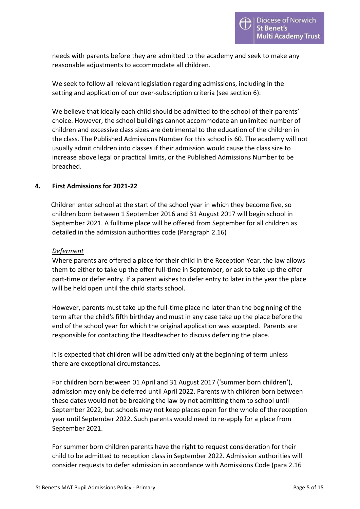needs with parents before they are admitted to the academy and seek to make any reasonable adjustments to accommodate all children.

We seek to follow all relevant legislation regarding admissions, including in the setting and application of our over-subscription criteria (see section 6).

We believe that ideally each child should be admitted to the school of their parents' choice. However, the school buildings cannot accommodate an unlimited number of children and excessive class sizes are detrimental to the education of the children in the class. The Published Admissions Number for this school is 60. The academy will not usually admit children into classes if their admission would cause the class size to increase above legal or practical limits, or the Published Admissions Number to be breached.

## <span id="page-4-0"></span>**4. First Admissions for 2021-22**

Children enter school at the start of the school year in which they become five, so children born between 1 September 2016 and 31 August 2017 will begin school in September 2021. A fulltime place will be offered from September for all children as detailed in the admission authorities code (Paragraph 2.16)

#### *Deferment*

Where parents are offered a place for their child in the Reception Year, the law allows them to either to take up the offer full-time in September, or ask to take up the offer part-time or defer entry. If a parent wishes to defer entry to later in the year the place will be held open until the child starts school.

However, parents must take up the full-time place no later than the beginning of the term after the child's fifth birthday and must in any case take up the place before the end of the school year for which the original application was accepted. Parents are responsible for contacting the Headteacher to discuss deferring the place.

It is expected that children will be admitted only at the beginning of term unless there are exceptional circumstances*.*

For children born between 01 April and 31 August 2017 ('summer born children'), admission may only be deferred until April 2022. Parents with children born between these dates would not be breaking the law by not admitting them to school until September 2022, but schools may not keep places open for the whole of the reception year until September 2022. Such parents would need to re-apply for a place from September 2021.

For summer born children parents have the right to request consideration for their child to be admitted to reception class in September 2022. Admission authorities will consider requests to defer admission in accordance with Admissions Code (para 2.16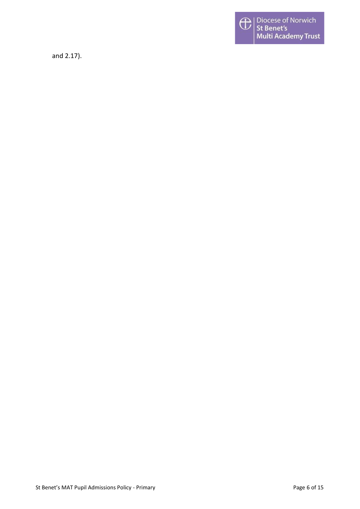

and 2.17).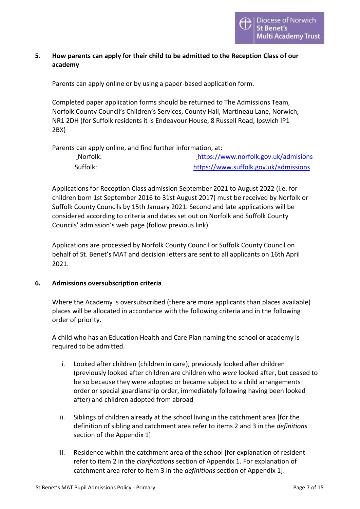## <span id="page-6-0"></span>**5. How parents can apply for their child to be admitted to the Reception Class of our academy**

Parents can apply online or by using a paper-based application form.

Completed paper application forms should be returned to The Admissions Team, Norfolk County Council's Children's Services, County Hall, Martineau Lane, Norwich, NR1 2DH (for Suffolk residents it is Endeavour House, 8 Russell Road, Ipswich IP1 2BX)

Parents can apply online, and find further information, at:

| Norfolk:  | https://www.norfolk.gov.uk/admisions  |
|-----------|---------------------------------------|
| _Suffolk: | https://www.suffolk.gov.uk/admissions |

Applications for Reception Class admission September 2021 to August 2022 (i.e. for children born 1st September 2016 to 31st August 2017) must be received by Norfolk or Suffolk County Councils by 15th January 2021. Second and late applications will be considered according to criteria and dates set out on Norfolk and Suffolk County Councils' admission's web page (follow previous link).

Applications are processed by Norfolk County Council or Suffolk County Council on behalf of St. Benet's MAT and decision letters are sent to all applicants on 16th April 2021.

#### <span id="page-6-1"></span>**6. Admissions oversubscription criteria**

Where the Academy is oversubscribed (there are more applicants than places available) places will be allocated in accordance with the following criteria and in the following order of priority.

A child who has an Education Health and Care Plan naming the school or academy is required to be admitted.

- i. Looked after children (children in care), previously looked after children (previously looked after children are children who *were* looked after, but ceased to be so because they were adopted or became subject to a child arrangements order or special guardianship order, immediately following having been looked after) and children adopted from abroad
- ii. Siblings of children already at the school living in the catchment area [for the definition of sibling and catchment area refer to items 2 and 3 in the *definitions* section of the Appendix 1]
- iii. Residence within the catchment area of the school [for explanation of resident refer to item 2 in the *clarifications* section of Appendix 1. For explanation of catchment area refer to item 3 in the *definitions* section of Appendix 1].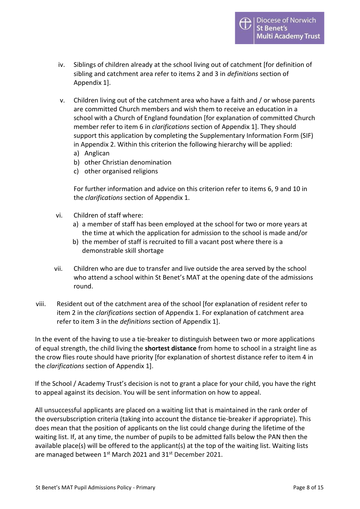- iv. Siblings of children already at the school living out of catchment [for definition of sibling and catchment area refer to items 2 and 3 in *definitions* section of Appendix 1].
- v. Children living out of the catchment area who have a faith and / or whose parents are committed Church members and wish them to receive an education in a school with a Church of England foundation [for explanation of committed Church member refer to item 6 in *clarifications* section of Appendix 1]. They should support this application by completing the Supplementary Information Form (SIF) in Appendix 2. Within this criterion the following hierarchy will be applied:
	- a) Anglican
	- b) other Christian denomination
	- c) other organised religions

For further information and advice on this criterion refer to items 6, 9 and 10 in the *clarifications* section of Appendix 1.

- vi. Children of staff where:
	- a) a member of staff has been employed at the school for two or more years at the time at which the application for admission to the school is made and/or
	- b) the member of staff is recruited to fill a vacant post where there is a demonstrable skill shortage
- vii. Children who are due to transfer and live outside the area served by the school who attend a school within St Benet's MAT at the opening date of the admissions round.
- viii. Resident out of the catchment area of the school [for explanation of resident refer to item 2 in the *clarifications* section of Appendix 1. For explanation of catchment area refer to item 3 in the *definitions* section of Appendix 1].

In the event of the having to use a tie-breaker to distinguish between two or more applications of equal strength, the child living the **shortest distance** from home to school in a straight line as the crow flies route should have priority [for explanation of shortest distance refer to item 4 in the *clarifications* section of Appendix 1].

If the School / Academy Trust's decision is not to grant a place for your child, you have the right to appeal against its decision. You will be sent information on how to appeal.

All unsuccessful applicants are placed on a waiting list that is maintained in the rank order of the oversubscription criteria (taking into account the distance tie-breaker if appropriate). This does mean that the position of applicants on the list could change during the lifetime of the waiting list. If, at any time, the number of pupils to be admitted falls below the PAN then the available place(s) will be offered to the applicant(s) at the top of the waiting list. Waiting lists are managed between 1st March 2021 and 31st December 2021.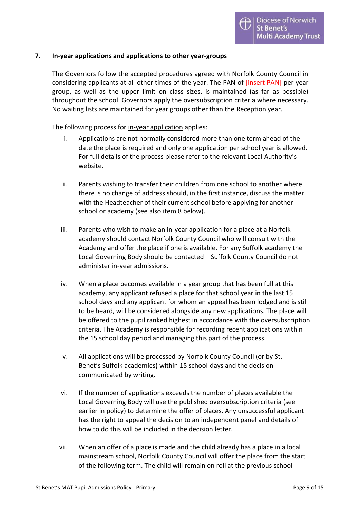#### <span id="page-8-0"></span>**7. In-year applications and applications to other year-groups**

The Governors follow the accepted procedures agreed with Norfolk County Council in considering applicants at all other times of the year. The PAN of [insert PAN] per year group, as well as the upper limit on class sizes, is maintained (as far as possible) throughout the school. Governors apply the oversubscription criteria where necessary. No waiting lists are maintained for year groups other than the Reception year.

The following process for in-year application applies:

- i. Applications are not normally considered more than one term ahead of the date the place is required and only one application per school year is allowed. For full details of the process please refer to the relevant Local Authority's website.
- ii. Parents wishing to transfer their children from one school to another where there is no change of address should, in the first instance, discuss the matter with the Headteacher of their current school before applying for another school or academy (see also item 8 below).
- iii. Parents who wish to make an in-year application for a place at a Norfolk academy should contact Norfolk County Council who will consult with the Academy and offer the place if one is available. For any Suffolk academy the Local Governing Body should be contacted – Suffolk County Council do not administer in-year admissions.
- iv. When a place becomes available in a year group that has been full at this academy, any applicant refused a place for that school year in the last 15 school days and any applicant for whom an appeal has been lodged and is still to be heard, will be considered alongside any new applications. The place will be offered to the pupil ranked highest in accordance with the oversubscription criteria. The Academy is responsible for recording recent applications within the 15 school day period and managing this part of the process.
- v. All applications will be processed by Norfolk County Council (or by St. Benet's Suffolk academies) within 15 school-days and the decision communicated by writing.
- vi. If the number of applications exceeds the number of places available the Local Governing Body will use the published oversubscription criteria (see earlier in policy) to determine the offer of places. Any unsuccessful applicant has the right to appeal the decision to an independent panel and details of how to do this will be included in the decision letter.
- vii. When an offer of a place is made and the child already has a place in a local mainstream school, Norfolk County Council will offer the place from the start of the following term. The child will remain on roll at the previous school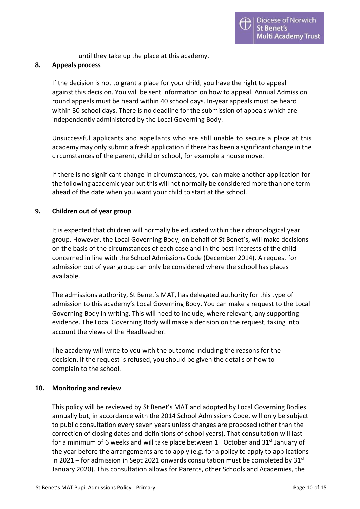

until they take up the place at this academy.

#### <span id="page-9-0"></span>**8. Appeals process**

If the decision is not to grant a place for your child, you have the right to appeal against this decision. You will be sent information on how to appeal. Annual Admission round appeals must be heard within 40 school days. In-year appeals must be heard within 30 school days. There is no deadline for the submission of appeals which are independently administered by the Local Governing Body.

Unsuccessful applicants and appellants who are still unable to secure a place at this academy may only submit a fresh application if there has been a significant change in the circumstances of the parent, child or school, for example a house move.

If there is no significant change in circumstances, you can make another application for the following academic year but this will not normally be considered more than one term ahead of the date when you want your child to start at the school.

#### <span id="page-9-1"></span>**9. Children out of year group**

It is expected that children will normally be educated within their chronological year group. However, the Local Governing Body, on behalf of St Benet's, will make decisions on the basis of the circumstances of each case and in the best interests of the child concerned in line with the School Admissions Code (December 2014). A request for admission out of year group can only be considered where the school has places available.

The admissions authority, St Benet's MAT, has delegated authority for this type of admission to this academy's Local Governing Body. You can make a request to the Local Governing Body in writing. This will need to include, where relevant, any supporting evidence. The Local Governing Body will make a decision on the request, taking into account the views of the Headteacher.

The academy will write to you with the outcome including the reasons for the decision. If the request is refused, you should be given the details of how to complain to the school.

#### <span id="page-9-2"></span>**10. Monitoring and review**

This policy will be reviewed by St Benet's MAT and adopted by Local Governing Bodies annually but, in accordance with the 2014 School Admissions Code, will only be subject to public consultation every seven years unless changes are proposed (other than the correction of closing dates and definitions of school years). That consultation will last for a minimum of 6 weeks and will take place between  $1<sup>st</sup>$  October and 31 $<sup>st</sup>$  January of</sup> the year before the arrangements are to apply (e.g. for a policy to apply to applications in 2021 – for admission in Sept 2021 onwards consultation must be completed by  $31^{st}$ January 2020). This consultation allows for Parents, other Schools and Academies, the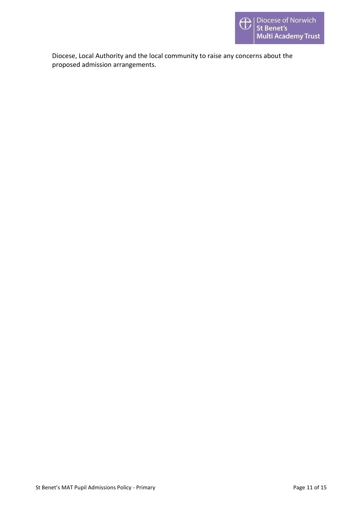

Diocese, Local Authority and the local community to raise any concerns about the proposed admission arrangements.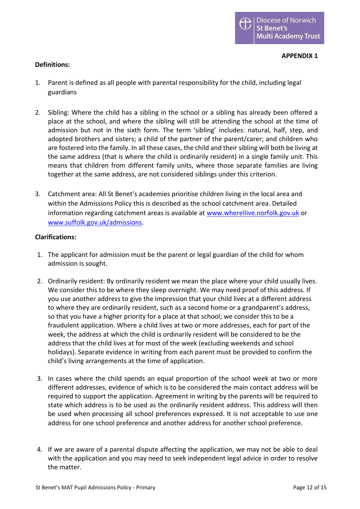#### <span id="page-11-0"></span>**Definitions:**

- 1. Parent is defined as all people with parental responsibility for the child, including legal guardians
- 2. Sibling: Where the child has a sibling in the school or a sibling has already been offered a place at the school, and where the sibling will still be attending the school at the time of admission but not in the sixth form. The term 'sibling' includes: natural, half, step, and adopted brothers and sisters; a child of the partner of the parent/carer; and children who are fostered into the family. In all these cases, the child and their sibling will both be living at the same address (that is where the child is ordinarily resident) in a single family unit. This means that children from different family units, where those separate families are living together at the same address, are not considered siblings under this criterion.
- 3. Catchment area: All St Benet's academies prioritise children living in the local area and within the Admissions Policy this is described as the school catchment area. Detailed information regarding catchment areas is available at www.wherellive.norfolk.gov.uk or [www.suffolk.gov.uk/admissions.](http://www.suffolk.gov.uk/admissions)

#### **Clarifications:**

- 1. The applicant for admission must be the parent or legal guardian of the child for whom admission is sought.
- 2. Ordinarily resident: By ordinarily resident we mean the place where your child usually lives. We consider this to be where they sleep overnight. We may need proof of this address. If you use another address to give the impression that your child lives at a different address to where they are ordinarily resident, such as a second home or a grandparent's address, so that you have a higher priority for a place at that school; we consider this to be a fraudulent application. Where a child lives at two or more addresses, each for part of the week, the address at which the child is ordinarily resident will be considered to be the address that the child lives at for most of the week (excluding weekends and school holidays). Separate evidence in writing from each parent must be provided to confirm the child's living arrangements at the time of application.
- 3. In cases where the child spends an equal proportion of the school week at two or more different addresses, evidence of which is to be considered the main contact address will be required to support the application. Agreement in writing by the parents will be required to state which address is to be used as the ordinarily resident address. This address will then be used when processing all school preferences expressed. It is not acceptable to use one address for one school preference and another address for another school preference.
- 4. If we are aware of a parental dispute affecting the application, we may not be able to deal with the application and you may need to seek independent legal advice in order to resolve the matter.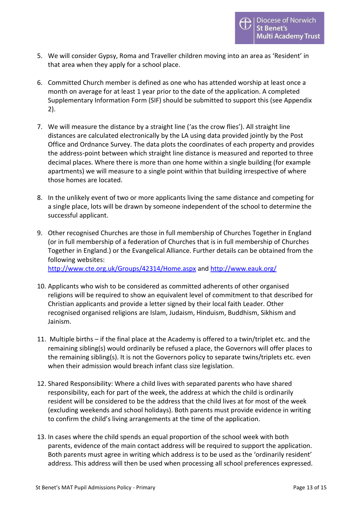- 5. We will consider Gypsy, Roma and Traveller children moving into an area as 'Resident' in that area when they apply for a school place.
- 6. Committed Church member is defined as one who has attended worship at least once a month on average for at least 1 year prior to the date of the application. A completed Supplementary Information Form (SIF) should be submitted to support this (see Appendix 2).
- 7. We will measure the distance by a straight line ('as the crow flies'). All straight line distances are calculated electronically by the LA using data provided jointly by the Post Office and Ordnance Survey. The data plots the coordinates of each property and provides the address-point between which straight line distance is measured and reported to three decimal places. Where there is more than one home within a single building (for example apartments) we will measure to a single point within that building irrespective of where those homes are located.
- 8. In the unlikely event of two or more applicants living the same distance and competing for a single place, lots will be drawn by someone independent of the school to determine the successful applicant.
- 9. Other recognised Churches are those in full membership of Churches Together in England (or in full membership of a federation of Churches that is in full membership of Churches Together in England.) or the Evangelical Alliance. Further details can be obtained from the following websites:

<http://www.cte.org.uk/Groups/42314/Home.aspx> and<http://www.eauk.org/>

- 10. Applicants who wish to be considered as committed adherents of other organised religions will be required to show an equivalent level of commitment to that described for Christian applicants and provide a letter signed by their local faith Leader. Other recognised organised religions are Islam, Judaism, Hinduism, Buddhism, Sikhism and Jainism.
- 11. Multiple births if the final place at the Academy is offered to a twin/triplet etc. and the remaining sibling(s) would ordinarily be refused a place, the Governors will offer places to the remaining sibling(s). It is not the Governors policy to separate twins/triplets etc. even when their admission would breach infant class size legislation.
- 12. Shared Responsibility: Where a child lives with separated parents who have shared responsibility, each for part of the week, the address at which the child is ordinarily resident will be considered to be the address that the child lives at for most of the week (excluding weekends and school holidays). Both parents must provide evidence in writing to confirm the child's living arrangements at the time of the application.
- 13. In cases where the child spends an equal proportion of the school week with both parents, evidence of the main contact address will be required to support the application. Both parents must agree in writing which address is to be used as the 'ordinarily resident' address. This address will then be used when processing all school preferences expressed.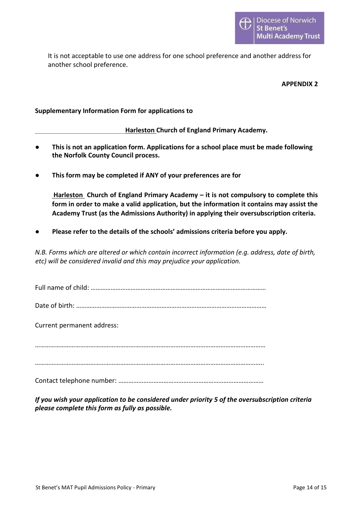

It is not acceptable to use one address for one school preference and another address for another school preference.

#### **APPENDIX 2**

#### <span id="page-13-0"></span>**Supplementary Information Form for applications to**

**Harleston Church of England Primary Academy.**

- **This is not an application form. Applications for a school place must be made following the Norfolk County Council process.**
- **This form may be completed if ANY of your preferences are for**

**Harleston Church of England Primary Academy – it is not compulsory to complete this form in order to make a valid application, but the information it contains may assist the Academy Trust (as the Admissions Authority) in applying their oversubscription criteria.**

Please refer to the details of the schools' admissions criteria before you apply.

*N.B. Forms which are altered or which contain incorrect information (e.g. address, date of birth, etc) will be considered invalid and this may prejudice your application.*

| Current permanent address: |
|----------------------------|
|                            |
|                            |

*If you wish your application to be considered under priority 5 of the oversubscription criteria please complete this form as fully as possible.*